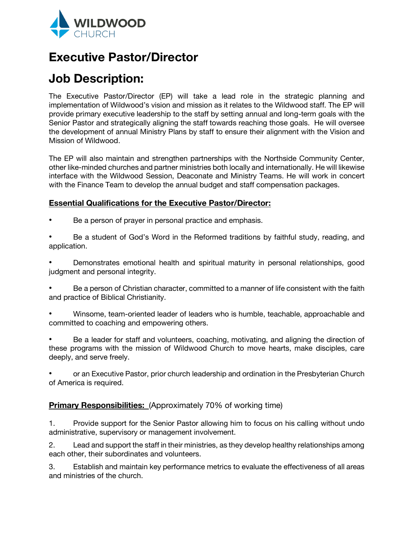

## **Executive Pastor/Director**

# **Job Description:**

The Executive Pastor/Director (EP) will take a lead role in the strategic planning and implementation of Wildwood's vision and mission as it relates to the Wildwood staff. The EP will provide primary executive leadership to the staff by setting annual and long-term goals with the Senior Pastor and strategically aligning the staff towards reaching those goals. He will oversee the development of annual Ministry Plans by staff to ensure their alignment with the Vision and Mission of Wildwood.

The EP will also maintain and strengthen partnerships with the Northside Community Center, other like-minded churches and partner ministries both locally and internationally. He will likewise interface with the Wildwood Session, Deaconate and Ministry Teams. He will work in concert with the Finance Team to develop the annual budget and staff compensation packages.

## **Essential Qualifications for the Executive Pastor/Director:**

- Be a person of prayer in personal practice and emphasis.
- Be a student of God's Word in the Reformed traditions by faithful study, reading, and application.

Demonstrates emotional health and spiritual maturity in personal relationships, good judgment and personal integrity.

- ! Be a person of Christian character, committed to a manner of life consistent with the faith and practice of Biblical Christianity.
- Winsome, team-oriented leader of leaders who is humble, teachable, approachable and committed to coaching and empowering others.
- ! Be a leader for staff and volunteers, coaching, motivating, and aligning the direction of these programs with the mission of Wildwood Church to move hearts, make disciples, care deeply, and serve freely.
- ! or an Executive Pastor, prior church leadership and ordination in the Presbyterian Church of America is required.

## **Primary Responsibilities:** (Approximately 70% of working time)

1. Provide support for the Senior Pastor allowing him to focus on his calling without undo administrative, supervisory or management involvement.

2. Lead and support the staff in their ministries, as they develop healthy relationships among each other, their subordinates and volunteers.

3. Establish and maintain key performance metrics to evaluate the effectiveness of all areas and ministries of the church.